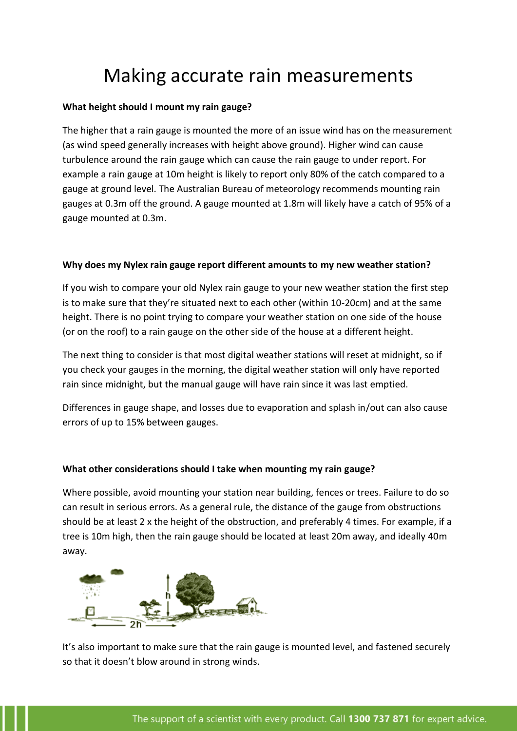# Making accurate rain measurements

## **What height should I mount my rain gauge?**

The higher that a rain gauge is mounted the more of an issue wind has on the measurement (as wind speed generally increases with height above ground). Higher wind can cause turbulence around the rain gauge which can cause the rain gauge to under report. For example a rain gauge at 10m height is likely to report only 80% of the catch compared to a gauge at ground level. The Australian Bureau of meteorology recommends mounting rain gauges at 0.3m off the ground. A gauge mounted at 1.8m will likely have a catch of 95% of a gauge mounted at 0.3m.

## **Why does my Nylex rain gauge report different amounts to my new weather station?**

If you wish to compare your old Nylex rain gauge to your new weather station the first step is to make sure that they're situated next to each other (within 10-20cm) and at the same height. There is no point trying to compare your weather station on one side of the house (or on the roof) to a rain gauge on the other side of the house at a different height.

The next thing to consider is that most digital weather stations will reset at midnight, so if you check your gauges in the morning, the digital weather station will only have reported rain since midnight, but the manual gauge will have rain since it was last emptied.

Differences in gauge shape, and losses due to evaporation and splash in/out can also cause errors of up to 15% between gauges.

## **What other considerations should I take when mounting my rain gauge?**

Where possible, avoid mounting your station near building, fences or trees. Failure to do so can result in serious errors. As a general rule, the distance of the gauge from obstructions should be at least 2 x the height of the obstruction, and preferably 4 times. For example, if a tree is 10m high, then the rain gauge should be located at least 20m away, and ideally 40m away.



It's also important to make sure that the rain gauge is mounted level, and fastened securely so that it doesn't blow around in strong winds.